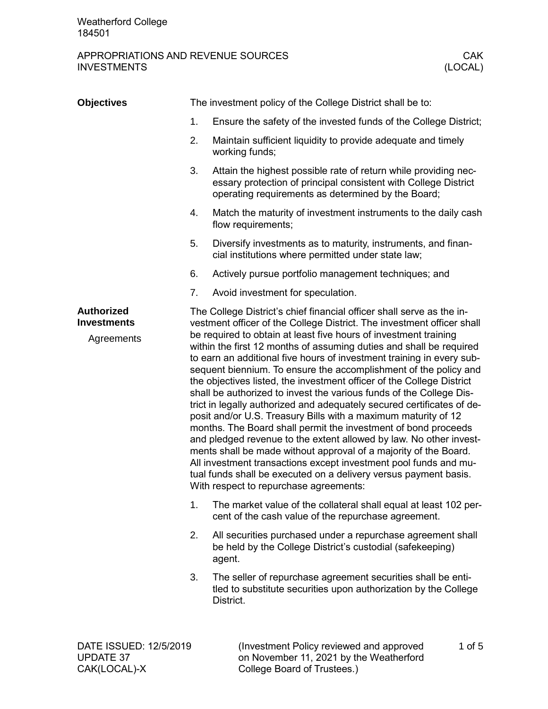## APPROPRIATIONS AND REVENUE SOURCES CAK CAK<br>INVESTMENTS (LOCAL) **INVESTMENTS**

| <b>Objectives</b>                                     |                                                                                                                                                                                                                                                                                                                                                                                                                                                                                                                                                                                                                                                                                                                                                                                                                                                                                                                                                                                                                                                                                                                                   | The investment policy of the College District shall be to:                                                                                                                               |  |  |
|-------------------------------------------------------|-----------------------------------------------------------------------------------------------------------------------------------------------------------------------------------------------------------------------------------------------------------------------------------------------------------------------------------------------------------------------------------------------------------------------------------------------------------------------------------------------------------------------------------------------------------------------------------------------------------------------------------------------------------------------------------------------------------------------------------------------------------------------------------------------------------------------------------------------------------------------------------------------------------------------------------------------------------------------------------------------------------------------------------------------------------------------------------------------------------------------------------|------------------------------------------------------------------------------------------------------------------------------------------------------------------------------------------|--|--|
|                                                       | 1.                                                                                                                                                                                                                                                                                                                                                                                                                                                                                                                                                                                                                                                                                                                                                                                                                                                                                                                                                                                                                                                                                                                                | Ensure the safety of the invested funds of the College District;                                                                                                                         |  |  |
|                                                       | 2.                                                                                                                                                                                                                                                                                                                                                                                                                                                                                                                                                                                                                                                                                                                                                                                                                                                                                                                                                                                                                                                                                                                                | Maintain sufficient liquidity to provide adequate and timely<br>working funds;                                                                                                           |  |  |
|                                                       | 3.                                                                                                                                                                                                                                                                                                                                                                                                                                                                                                                                                                                                                                                                                                                                                                                                                                                                                                                                                                                                                                                                                                                                | Attain the highest possible rate of return while providing nec-<br>essary protection of principal consistent with College District<br>operating requirements as determined by the Board; |  |  |
|                                                       | 4.                                                                                                                                                                                                                                                                                                                                                                                                                                                                                                                                                                                                                                                                                                                                                                                                                                                                                                                                                                                                                                                                                                                                | Match the maturity of investment instruments to the daily cash<br>flow requirements;                                                                                                     |  |  |
|                                                       | 5.                                                                                                                                                                                                                                                                                                                                                                                                                                                                                                                                                                                                                                                                                                                                                                                                                                                                                                                                                                                                                                                                                                                                | Diversify investments as to maturity, instruments, and finan-<br>cial institutions where permitted under state law;                                                                      |  |  |
|                                                       | 6.                                                                                                                                                                                                                                                                                                                                                                                                                                                                                                                                                                                                                                                                                                                                                                                                                                                                                                                                                                                                                                                                                                                                | Actively pursue portfolio management techniques; and                                                                                                                                     |  |  |
|                                                       | 7.                                                                                                                                                                                                                                                                                                                                                                                                                                                                                                                                                                                                                                                                                                                                                                                                                                                                                                                                                                                                                                                                                                                                | Avoid investment for speculation.                                                                                                                                                        |  |  |
| <b>Authorized</b><br><b>Investments</b><br>Agreements | The College District's chief financial officer shall serve as the in-<br>vestment officer of the College District. The investment officer shall<br>be required to obtain at least five hours of investment training<br>within the first 12 months of assuming duties and shall be required<br>to earn an additional five hours of investment training in every sub-<br>sequent biennium. To ensure the accomplishment of the policy and<br>the objectives listed, the investment officer of the College District<br>shall be authorized to invest the various funds of the College Dis-<br>trict in legally authorized and adequately secured certificates of de-<br>posit and/or U.S. Treasury Bills with a maximum maturity of 12<br>months. The Board shall permit the investment of bond proceeds<br>and pledged revenue to the extent allowed by law. No other invest-<br>ments shall be made without approval of a majority of the Board.<br>All investment transactions except investment pool funds and mu-<br>tual funds shall be executed on a delivery versus payment basis.<br>With respect to repurchase agreements: |                                                                                                                                                                                          |  |  |
|                                                       | 1.                                                                                                                                                                                                                                                                                                                                                                                                                                                                                                                                                                                                                                                                                                                                                                                                                                                                                                                                                                                                                                                                                                                                | The market value of the collateral shall equal at least 102 per-<br>cent of the cash value of the repurchase agreement.                                                                  |  |  |
|                                                       | 2.                                                                                                                                                                                                                                                                                                                                                                                                                                                                                                                                                                                                                                                                                                                                                                                                                                                                                                                                                                                                                                                                                                                                | All securities purchased under a repurchase agreement shall<br>be held by the College District's custodial (safekeeping)<br>agent.                                                       |  |  |
|                                                       | 3.                                                                                                                                                                                                                                                                                                                                                                                                                                                                                                                                                                                                                                                                                                                                                                                                                                                                                                                                                                                                                                                                                                                                | The seller of repurchase agreement securities shall be enti-<br>tled to substitute securities upon authorization by the College<br>District.                                             |  |  |
|                                                       |                                                                                                                                                                                                                                                                                                                                                                                                                                                                                                                                                                                                                                                                                                                                                                                                                                                                                                                                                                                                                                                                                                                                   |                                                                                                                                                                                          |  |  |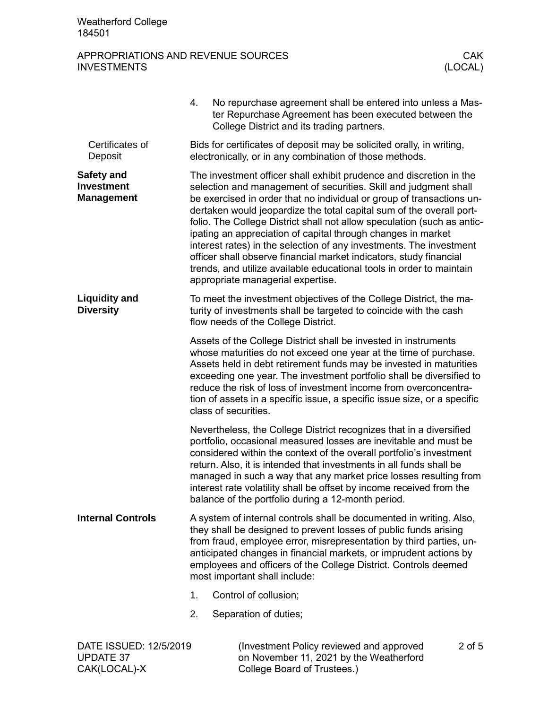Weatherford College 184501

CAK(LOCAL)-X

## APPROPRIATIONS AND REVENUE SOURCES CAK CAK<br>INVESTMENTS (LOCAL) **INVESTMENTS**

|                                                      | No repurchase agreement shall be entered into unless a Mas-<br>4.<br>ter Repurchase Agreement has been executed between the<br>College District and its trading partners.                                                                                                                                                                                                                                                                                                                                                                                                                                                                                                                     |  |  |  |  |  |
|------------------------------------------------------|-----------------------------------------------------------------------------------------------------------------------------------------------------------------------------------------------------------------------------------------------------------------------------------------------------------------------------------------------------------------------------------------------------------------------------------------------------------------------------------------------------------------------------------------------------------------------------------------------------------------------------------------------------------------------------------------------|--|--|--|--|--|
| Certificates of<br>Deposit                           | Bids for certificates of deposit may be solicited orally, in writing,<br>electronically, or in any combination of those methods.                                                                                                                                                                                                                                                                                                                                                                                                                                                                                                                                                              |  |  |  |  |  |
| Safety and<br><b>Investment</b><br><b>Management</b> | The investment officer shall exhibit prudence and discretion in the<br>selection and management of securities. Skill and judgment shall<br>be exercised in order that no individual or group of transactions un-<br>dertaken would jeopardize the total capital sum of the overall port-<br>folio. The College District shall not allow speculation (such as antic-<br>ipating an appreciation of capital through changes in market<br>interest rates) in the selection of any investments. The investment<br>officer shall observe financial market indicators, study financial<br>trends, and utilize available educational tools in order to maintain<br>appropriate managerial expertise. |  |  |  |  |  |
| <b>Liquidity and</b><br><b>Diversity</b>             | To meet the investment objectives of the College District, the ma-<br>turity of investments shall be targeted to coincide with the cash<br>flow needs of the College District.                                                                                                                                                                                                                                                                                                                                                                                                                                                                                                                |  |  |  |  |  |
|                                                      | Assets of the College District shall be invested in instruments<br>whose maturities do not exceed one year at the time of purchase.<br>Assets held in debt retirement funds may be invested in maturities<br>exceeding one year. The investment portfolio shall be diversified to<br>reduce the risk of loss of investment income from overconcentra-<br>tion of assets in a specific issue, a specific issue size, or a specific<br>class of securities.                                                                                                                                                                                                                                     |  |  |  |  |  |
|                                                      | Nevertheless, the College District recognizes that in a diversified<br>portfolio, occasional measured losses are inevitable and must be<br>considered within the context of the overall portfolio's investment<br>return. Also, it is intended that investments in all funds shall be<br>managed in such a way that any market price losses resulting from<br>interest rate volatility shall be offset by income received from the<br>balance of the portfolio during a 12-month period.                                                                                                                                                                                                      |  |  |  |  |  |
| <b>Internal Controls</b>                             | A system of internal controls shall be documented in writing. Also,<br>they shall be designed to prevent losses of public funds arising<br>from fraud, employee error, misrepresentation by third parties, un-<br>anticipated changes in financial markets, or imprudent actions by<br>employees and officers of the College District. Controls deemed<br>most important shall include:                                                                                                                                                                                                                                                                                                       |  |  |  |  |  |
|                                                      | 1.<br>Control of collusion;                                                                                                                                                                                                                                                                                                                                                                                                                                                                                                                                                                                                                                                                   |  |  |  |  |  |
|                                                      | 2.<br>Separation of duties;                                                                                                                                                                                                                                                                                                                                                                                                                                                                                                                                                                                                                                                                   |  |  |  |  |  |
| DATE ISSUED: 12/5/2019<br><b>UPDATE 37</b>           | (Investment Policy reviewed and approved<br>2 of 5<br>on November 11, 2021 by the Weatherford                                                                                                                                                                                                                                                                                                                                                                                                                                                                                                                                                                                                 |  |  |  |  |  |

on November 11, 2021 by the Weatherford

College Board of Trustees.)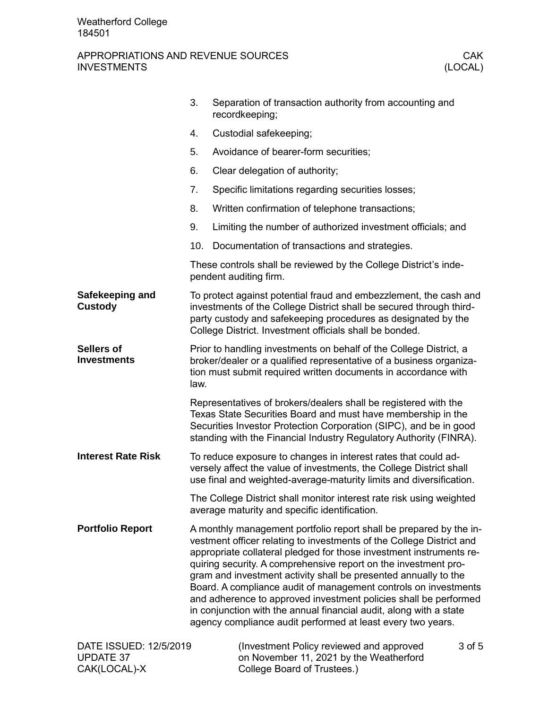## APPROPRIATIONS AND REVENUE SOURCES THE CARRY CONSTRUCTS CAN CARRY CONSTRUCTS ON A CARRY CONSTRUCT OF CARRY CON<br>(LOCAL) **INVESTMENTS**

|                                                            | 3.                                                                                                                                                                                                                                                                         | Separation of transaction authority from accounting and<br>recordkeeping;                                                                                                                                                                                                                                                                                                                                                                                                                                                                                                                                                           |  |  |  |
|------------------------------------------------------------|----------------------------------------------------------------------------------------------------------------------------------------------------------------------------------------------------------------------------------------------------------------------------|-------------------------------------------------------------------------------------------------------------------------------------------------------------------------------------------------------------------------------------------------------------------------------------------------------------------------------------------------------------------------------------------------------------------------------------------------------------------------------------------------------------------------------------------------------------------------------------------------------------------------------------|--|--|--|
|                                                            | 4.                                                                                                                                                                                                                                                                         | Custodial safekeeping;                                                                                                                                                                                                                                                                                                                                                                                                                                                                                                                                                                                                              |  |  |  |
|                                                            | 5.                                                                                                                                                                                                                                                                         | Avoidance of bearer-form securities;                                                                                                                                                                                                                                                                                                                                                                                                                                                                                                                                                                                                |  |  |  |
|                                                            | 6.                                                                                                                                                                                                                                                                         | Clear delegation of authority;                                                                                                                                                                                                                                                                                                                                                                                                                                                                                                                                                                                                      |  |  |  |
|                                                            | 7.                                                                                                                                                                                                                                                                         | Specific limitations regarding securities losses;                                                                                                                                                                                                                                                                                                                                                                                                                                                                                                                                                                                   |  |  |  |
|                                                            | 8.                                                                                                                                                                                                                                                                         | Written confirmation of telephone transactions;                                                                                                                                                                                                                                                                                                                                                                                                                                                                                                                                                                                     |  |  |  |
|                                                            | 9.                                                                                                                                                                                                                                                                         | Limiting the number of authorized investment officials; and                                                                                                                                                                                                                                                                                                                                                                                                                                                                                                                                                                         |  |  |  |
|                                                            | 10.                                                                                                                                                                                                                                                                        | Documentation of transactions and strategies.                                                                                                                                                                                                                                                                                                                                                                                                                                                                                                                                                                                       |  |  |  |
|                                                            |                                                                                                                                                                                                                                                                            | These controls shall be reviewed by the College District's inde-<br>pendent auditing firm.                                                                                                                                                                                                                                                                                                                                                                                                                                                                                                                                          |  |  |  |
| Safekeeping and<br><b>Custody</b>                          |                                                                                                                                                                                                                                                                            | To protect against potential fraud and embezzlement, the cash and<br>investments of the College District shall be secured through third-<br>party custody and safekeeping procedures as designated by the<br>College District. Investment officials shall be bonded.                                                                                                                                                                                                                                                                                                                                                                |  |  |  |
| <b>Sellers of</b><br><b>Investments</b>                    | Prior to handling investments on behalf of the College District, a<br>broker/dealer or a qualified representative of a business organiza-<br>tion must submit required written documents in accordance with<br>law.                                                        |                                                                                                                                                                                                                                                                                                                                                                                                                                                                                                                                                                                                                                     |  |  |  |
|                                                            | Representatives of brokers/dealers shall be registered with the<br>Texas State Securities Board and must have membership in the<br>Securities Investor Protection Corporation (SIPC), and be in good<br>standing with the Financial Industry Regulatory Authority (FINRA). |                                                                                                                                                                                                                                                                                                                                                                                                                                                                                                                                                                                                                                     |  |  |  |
| <b>Interest Rate Risk</b>                                  |                                                                                                                                                                                                                                                                            | To reduce exposure to changes in interest rates that could ad-<br>versely affect the value of investments, the College District shall<br>use final and weighted-average-maturity limits and diversification.                                                                                                                                                                                                                                                                                                                                                                                                                        |  |  |  |
|                                                            | The College District shall monitor interest rate risk using weighted<br>average maturity and specific identification.                                                                                                                                                      |                                                                                                                                                                                                                                                                                                                                                                                                                                                                                                                                                                                                                                     |  |  |  |
| <b>Portfolio Report</b>                                    |                                                                                                                                                                                                                                                                            | A monthly management portfolio report shall be prepared by the in-<br>vestment officer relating to investments of the College District and<br>appropriate collateral pledged for those investment instruments re-<br>quiring security. A comprehensive report on the investment pro-<br>gram and investment activity shall be presented annually to the<br>Board. A compliance audit of management controls on investments<br>and adherence to approved investment policies shall be performed<br>in conjunction with the annual financial audit, along with a state<br>agency compliance audit performed at least every two years. |  |  |  |
| DATE ISSUED: 12/5/2019<br><b>UPDATE 37</b><br>CAK(LOCAL)-X |                                                                                                                                                                                                                                                                            | (Investment Policy reviewed and approved<br>3 of 5<br>on November 11, 2021 by the Weatherford<br>College Board of Trustees.)                                                                                                                                                                                                                                                                                                                                                                                                                                                                                                        |  |  |  |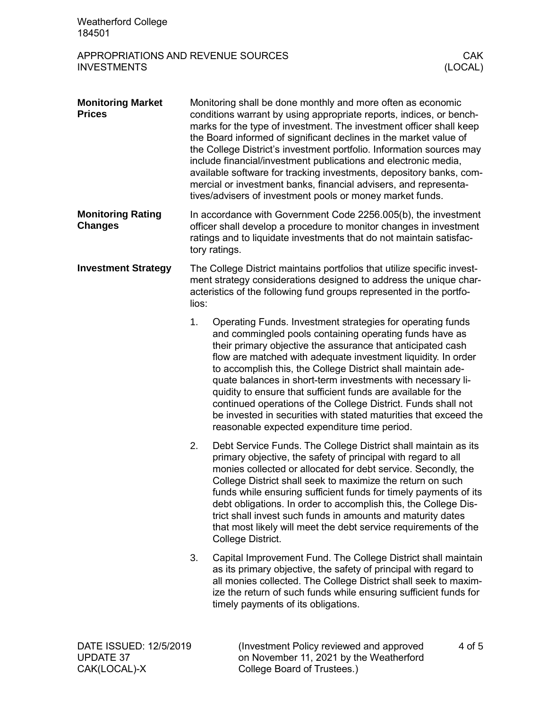| <b>Weatherford College</b><br>184501                     |                                                                                                                                                                                                                              |                                                                                                                                                                                                                                                                                                                                                                                                                                                                                                                                                                                                                                            |                       |
|----------------------------------------------------------|------------------------------------------------------------------------------------------------------------------------------------------------------------------------------------------------------------------------------|--------------------------------------------------------------------------------------------------------------------------------------------------------------------------------------------------------------------------------------------------------------------------------------------------------------------------------------------------------------------------------------------------------------------------------------------------------------------------------------------------------------------------------------------------------------------------------------------------------------------------------------------|-----------------------|
| APPROPRIATIONS AND REVENUE SOURCES<br><b>INVESTMENTS</b> |                                                                                                                                                                                                                              |                                                                                                                                                                                                                                                                                                                                                                                                                                                                                                                                                                                                                                            | <b>CAK</b><br>(LOCAL) |
| <b>Monitoring Market</b><br><b>Prices</b>                |                                                                                                                                                                                                                              | Monitoring shall be done monthly and more often as economic<br>conditions warrant by using appropriate reports, indices, or bench-<br>marks for the type of investment. The investment officer shall keep<br>the Board informed of significant declines in the market value of<br>the College District's investment portfolio. Information sources may<br>include financial/investment publications and electronic media,<br>available software for tracking investments, depository banks, com-<br>mercial or investment banks, financial advisers, and representa-<br>tives/advisers of investment pools or money market funds.          |                       |
| <b>Monitoring Rating</b><br><b>Changes</b>               | In accordance with Government Code 2256.005(b), the investment<br>officer shall develop a procedure to monitor changes in investment<br>ratings and to liquidate investments that do not maintain satisfac-<br>tory ratings. |                                                                                                                                                                                                                                                                                                                                                                                                                                                                                                                                                                                                                                            |                       |
| <b>Investment Strategy</b>                               | The College District maintains portfolios that utilize specific invest-<br>ment strategy considerations designed to address the unique char-<br>acteristics of the following fund groups represented in the portfo-<br>lios: |                                                                                                                                                                                                                                                                                                                                                                                                                                                                                                                                                                                                                                            |                       |
|                                                          | 1.                                                                                                                                                                                                                           | Operating Funds. Investment strategies for operating funds<br>and commingled pools containing operating funds have as<br>their primary objective the assurance that anticipated cash<br>flow are matched with adequate investment liquidity. In order<br>to accomplish this, the College District shall maintain ade-<br>quate balances in short-term investments with necessary li-<br>quidity to ensure that sufficient funds are available for the<br>continued operations of the College District. Funds shall not<br>be invested in securities with stated maturities that exceed the<br>reasonable expected expenditure time period. |                       |
|                                                          | 2.                                                                                                                                                                                                                           | Debt Service Funds. The College District shall maintain as its<br>primary objective, the safety of principal with regard to all<br>monies collected or allocated for debt service. Secondly, the<br>College District shall seek to maximize the return on such<br>funds while ensuring sufficient funds for timely payments of its<br>debt obligations. In order to accomplish this, the College Dis-<br>trict shall invest such funds in amounts and maturity dates<br>that most likely will meet the debt service requirements of the<br>College District.                                                                               |                       |
|                                                          | 3.                                                                                                                                                                                                                           | Capital Improvement Fund. The College District shall maintain<br>as its primary objective, the safety of principal with regard to<br>all monies collected. The College District shall seek to maxim-<br>ize the return of such funds while ensuring sufficient funds for<br>timely payments of its obligations.                                                                                                                                                                                                                                                                                                                            |                       |
| DATE ISSUED: 12/5/2019                                   |                                                                                                                                                                                                                              | (Investment Policy reviewed and approved                                                                                                                                                                                                                                                                                                                                                                                                                                                                                                                                                                                                   | 4 of 5                |

on November 11, 2021 by the Weatherford

College Board of Trustees.)

UPDATE 37 CAK(LOCAL)-X